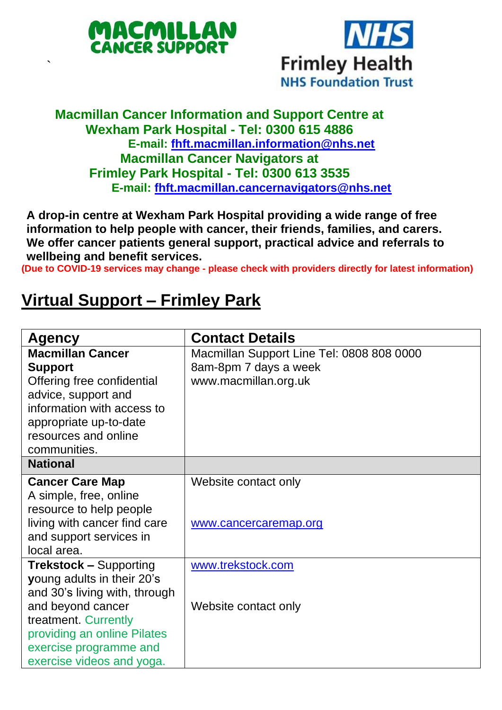

`



## **Macmillan Cancer Information and Support Centre at Wexham Park Hospital - Tel: 0300 615 4886 E-mail: [fhft.macmillan.information@nhs.net](mailto:fhft.macmillan.information@nhs.net) Macmillan Cancer Navigators at Frimley Park Hospital - Tel: 0300 613 3535 E-mail: [fhft.macmillan.cancernavigators@nhs.net](mailto:fhft.macmillan.cancernavigators@nhs.net)**

**A drop-in centre at Wexham Park Hospital providing a wide range of free information to help people with cancer, their friends, families, and carers. We offer cancer patients general support, practical advice and referrals to wellbeing and benefit services.**

**(Due to COVID-19 services may change - please check with providers directly for latest information)**

## **Virtual Support – Frimley Park**

| <b>Agency</b>                 | <b>Contact Details</b>                    |  |  |
|-------------------------------|-------------------------------------------|--|--|
| <b>Macmillan Cancer</b>       | Macmillan Support Line Tel: 0808 808 0000 |  |  |
| <b>Support</b>                | 8am-8pm 7 days a week                     |  |  |
| Offering free confidential    | www.macmillan.org.uk                      |  |  |
| advice, support and           |                                           |  |  |
| information with access to    |                                           |  |  |
| appropriate up-to-date        |                                           |  |  |
| resources and online          |                                           |  |  |
| communities.                  |                                           |  |  |
| <b>National</b>               |                                           |  |  |
| <b>Cancer Care Map</b>        | Website contact only                      |  |  |
| A simple, free, online        |                                           |  |  |
| resource to help people       |                                           |  |  |
| living with cancer find care  | www.cancercaremap.org                     |  |  |
| and support services in       |                                           |  |  |
| local area.                   |                                           |  |  |
| <b>Trekstock - Supporting</b> | www.trekstock.com                         |  |  |
| young adults in their 20's    |                                           |  |  |
| and 30's living with, through |                                           |  |  |
| and beyond cancer             | Website contact only                      |  |  |
| treatment. Currently          |                                           |  |  |
| providing an online Pilates   |                                           |  |  |
| exercise programme and        |                                           |  |  |
| exercise videos and yoga.     |                                           |  |  |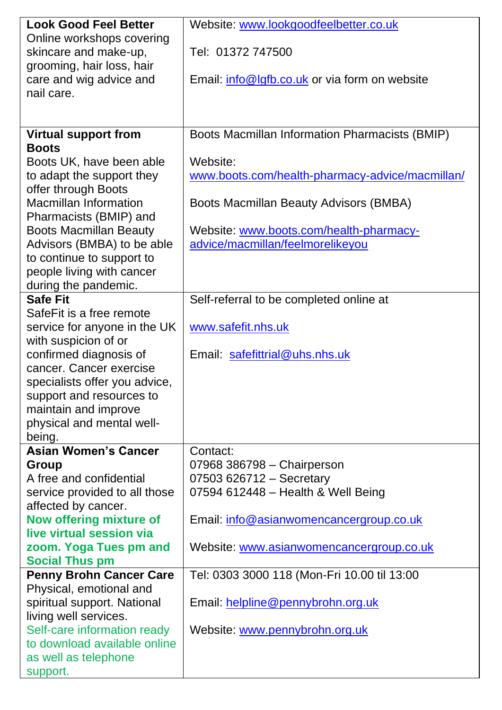| <b>Look Good Feel Better</b>                         | Website: www.lookgoodfeelbetter.co.uk                       |  |  |
|------------------------------------------------------|-------------------------------------------------------------|--|--|
| Online workshops covering                            |                                                             |  |  |
| skincare and make-up,                                | Tel: 01372 747500                                           |  |  |
| grooming, hair loss, hair<br>care and wig advice and | Email: info@lgfb.co.uk or via form on website               |  |  |
| nail care.                                           |                                                             |  |  |
|                                                      |                                                             |  |  |
|                                                      |                                                             |  |  |
| <b>Virtual support from</b>                          | Boots Macmillan Information Pharmacists (BMIP)              |  |  |
| <b>Boots</b>                                         |                                                             |  |  |
| Boots UK, have been able                             | Website:<br>www.boots.com/health-pharmacy-advice/macmillan/ |  |  |
| to adapt the support they<br>offer through Boots     |                                                             |  |  |
| Macmillan Information                                | Boots Macmillan Beauty Advisors (BMBA)                      |  |  |
| Pharmacists (BMIP) and                               |                                                             |  |  |
| <b>Boots Macmillan Beauty</b>                        | Website: www.boots.com/health-pharmacy-                     |  |  |
| Advisors (BMBA) to be able                           | advice/macmillan/feelmorelikeyou                            |  |  |
| to continue to support to                            |                                                             |  |  |
| people living with cancer                            |                                                             |  |  |
| during the pandemic.<br><b>Safe Fit</b>              |                                                             |  |  |
| SafeFit is a free remote                             | Self-referral to be completed online at                     |  |  |
| service for anyone in the UK                         | www.safefit.nhs.uk                                          |  |  |
| with suspicion of or                                 |                                                             |  |  |
| confirmed diagnosis of                               | Email: safefittrial@uhs.nhs.uk                              |  |  |
| cancer. Cancer exercise                              |                                                             |  |  |
| specialists offer you advice,                        |                                                             |  |  |
| support and resources to                             |                                                             |  |  |
| maintain and improve                                 |                                                             |  |  |
| physical and mental well-<br>being.                  |                                                             |  |  |
| <b>Asian Women's Cancer</b>                          | Contact:                                                    |  |  |
| Group                                                | 07968 386798 - Chairperson                                  |  |  |
| A free and confidential                              | 07503 626712 - Secretary                                    |  |  |
| service provided to all those                        | 07594 612448 - Health & Well Being                          |  |  |
| affected by cancer.                                  |                                                             |  |  |
| Now offering mixture of                              | Email: info@asianwomencancergroup.co.uk                     |  |  |
| live virtual session via                             |                                                             |  |  |
| zoom. Yoga Tues pm and<br><b>Social Thus pm</b>      | Website: www.asianwomencancergroup.co.uk                    |  |  |
| <b>Penny Brohn Cancer Care</b>                       | Tel: 0303 3000 118 (Mon-Fri 10.00 til 13:00                 |  |  |
| Physical, emotional and                              |                                                             |  |  |
| spiritual support. National                          | Email: helpline@pennybrohn.org.uk                           |  |  |
| living well services.                                |                                                             |  |  |
| Self-care information ready                          | Website: www.pennybrohn.org.uk                              |  |  |
| to download available online                         |                                                             |  |  |
| as well as telephone<br>support.                     |                                                             |  |  |
|                                                      |                                                             |  |  |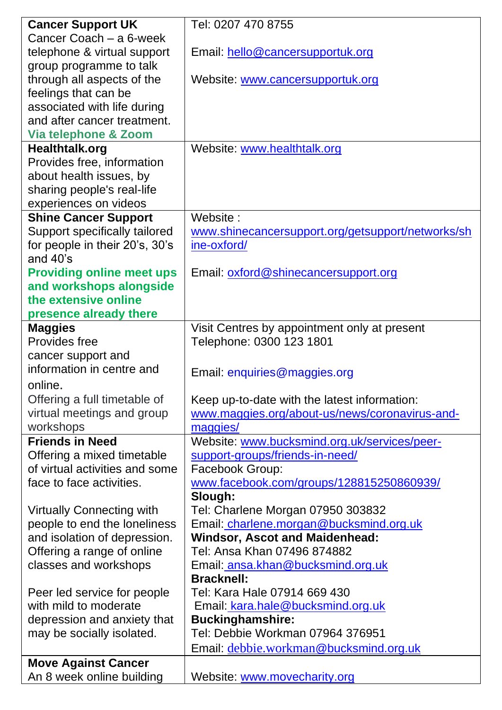| <b>Cancer Support UK</b>                                | Tel: 0207 470 8755                                           |  |  |
|---------------------------------------------------------|--------------------------------------------------------------|--|--|
| Cancer Coach - a 6-week                                 |                                                              |  |  |
| telephone & virtual support                             | Email: hello@cancersupportuk.org                             |  |  |
| group programme to talk                                 |                                                              |  |  |
| through all aspects of the                              | Website: www.cancersupportuk.org                             |  |  |
| feelings that can be                                    |                                                              |  |  |
| associated with life during                             |                                                              |  |  |
| and after cancer treatment.                             |                                                              |  |  |
| Via telephone & Zoom                                    |                                                              |  |  |
| Healthtalk.org                                          | Website: www.healthtalk.org                                  |  |  |
| Provides free, information                              |                                                              |  |  |
| about health issues, by                                 |                                                              |  |  |
| sharing people's real-life                              |                                                              |  |  |
| experiences on videos                                   |                                                              |  |  |
| <b>Shine Cancer Support</b>                             | Website:                                                     |  |  |
| Support specifically tailored                           | www.shinecancersupport.org/getsupport/networks/sh            |  |  |
| for people in their 20's, 30's                          | ine-oxford/                                                  |  |  |
| and 40's                                                |                                                              |  |  |
| <b>Providing online meet ups</b>                        | Email: oxford@shinecancersupport.org                         |  |  |
| and workshops alongside                                 |                                                              |  |  |
| the extensive online                                    |                                                              |  |  |
| presence already there                                  |                                                              |  |  |
| <b>Maggies</b>                                          | Visit Centres by appointment only at present                 |  |  |
| Provides free                                           | Telephone: 0300 123 1801                                     |  |  |
| cancer support and                                      |                                                              |  |  |
| information in centre and                               | Email: enquiries@maggies.org                                 |  |  |
| online.                                                 |                                                              |  |  |
| Offering a full timetable of                            | Keep up-to-date with the latest information:                 |  |  |
| virtual meetings and group                              | www.maggies.org/about-us/news/coronavirus-and-               |  |  |
| workshops                                               | maggies/                                                     |  |  |
| <b>Friends in Need</b>                                  | Website: www.bucksmind.org.uk/services/peer-                 |  |  |
| Offering a mixed timetable                              | support-groups/friends-in-need/                              |  |  |
| of virtual activities and some                          | Facebook Group:                                              |  |  |
| face to face activities.                                | www.facebook.com/groups/128815250860939/                     |  |  |
|                                                         | Slough:                                                      |  |  |
| Virtually Connecting with                               | Tel: Charlene Morgan 07950 303832                            |  |  |
| people to end the loneliness                            | Email: charlene.morgan@bucksmind.org.uk                      |  |  |
| and isolation of depression.                            | Windsor, Ascot and Maidenhead:                               |  |  |
| Offering a range of online                              | Tel: Ansa Khan 07496 874882                                  |  |  |
| classes and workshops                                   | Email: ansa.khan@bucksmind.org.uk                            |  |  |
|                                                         | <b>Bracknell:</b><br>Tel: Kara Hale 07914 669 430            |  |  |
| Peer led service for people<br>with mild to moderate    |                                                              |  |  |
| depression and anxiety that                             | Email: kara.hale@bucksmind.org.uk<br><b>Buckinghamshire:</b> |  |  |
|                                                         | Tel: Debbie Workman 07964 376951                             |  |  |
| may be socially isolated.                               |                                                              |  |  |
|                                                         | Email: debbie.workman@bucksmind.org.uk                       |  |  |
| <b>Move Against Cancer</b><br>An 8 week online building |                                                              |  |  |
|                                                         | Website: www.movecharity.org                                 |  |  |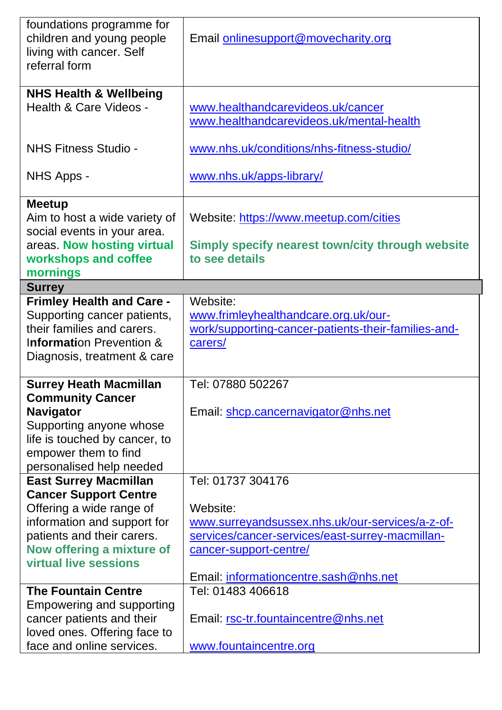| foundations programme for<br>children and young people<br>living with cancer. Self<br>referral form                                                      | Email onlinesupport@movecharity.org                                                                                |  |
|----------------------------------------------------------------------------------------------------------------------------------------------------------|--------------------------------------------------------------------------------------------------------------------|--|
| <b>NHS Health &amp; Wellbeing</b><br>Health & Care Videos -                                                                                              | www.healthandcarevideos.uk/cancer<br>www.healthandcarevideos.uk/mental-health                                      |  |
| NHS Fitness Studio -                                                                                                                                     | www.nhs.uk/conditions/nhs-fitness-studio/                                                                          |  |
| NHS Apps -                                                                                                                                               | www.nhs.uk/apps-library/                                                                                           |  |
| <b>Meetup</b><br>Aim to host a wide variety of<br>social events in your area.<br>areas. Now hosting virtual<br>workshops and coffee<br>mornings          | Website: https://www.meetup.com/cities<br>Simply specify nearest town/city through website<br>to see details       |  |
| <b>Surrey</b>                                                                                                                                            |                                                                                                                    |  |
| <b>Frimley Health and Care -</b><br>Supporting cancer patients,<br>their families and carers.<br>Information Prevention &<br>Diagnosis, treatment & care | Website:<br>www.frimleyhealthandcare.org.uk/our-<br>work/supporting-cancer-patients-their-families-and-<br>carers/ |  |
| <b>Surrey Heath Macmillan</b>                                                                                                                            | Tel: 07880 502267                                                                                                  |  |
| <b>Community Cancer</b>                                                                                                                                  |                                                                                                                    |  |
| Navigator                                                                                                                                                | Email: shcp.cancernavigator@nhs.net                                                                                |  |
| Supporting anyone whose                                                                                                                                  |                                                                                                                    |  |
| life is touched by cancer, to                                                                                                                            |                                                                                                                    |  |
| empower them to find<br>personalised help needed                                                                                                         |                                                                                                                    |  |
| <b>East Surrey Macmillan</b>                                                                                                                             | Tel: 01737 304176                                                                                                  |  |
| <b>Cancer Support Centre</b>                                                                                                                             |                                                                                                                    |  |
| Offering a wide range of                                                                                                                                 | Website:                                                                                                           |  |
| information and support for                                                                                                                              | www.surreyandsussex.nhs.uk/our-services/a-z-of-                                                                    |  |
| patients and their carers.                                                                                                                               | services/cancer-services/east-surrey-macmillan-                                                                    |  |
| Now offering a mixture of                                                                                                                                | cancer-support-centre/                                                                                             |  |
| virtual live sessions                                                                                                                                    | Email: informationcentre.sash@nhs.net                                                                              |  |
| <b>The Fountain Centre</b>                                                                                                                               | Tel: 01483 406618                                                                                                  |  |
| Empowering and supporting                                                                                                                                |                                                                                                                    |  |
| cancer patients and their                                                                                                                                | Email: rsc-tr.fountaincentre@nhs.net                                                                               |  |
| loved ones. Offering face to                                                                                                                             |                                                                                                                    |  |
| face and online services.                                                                                                                                | www.fountaincentre.org                                                                                             |  |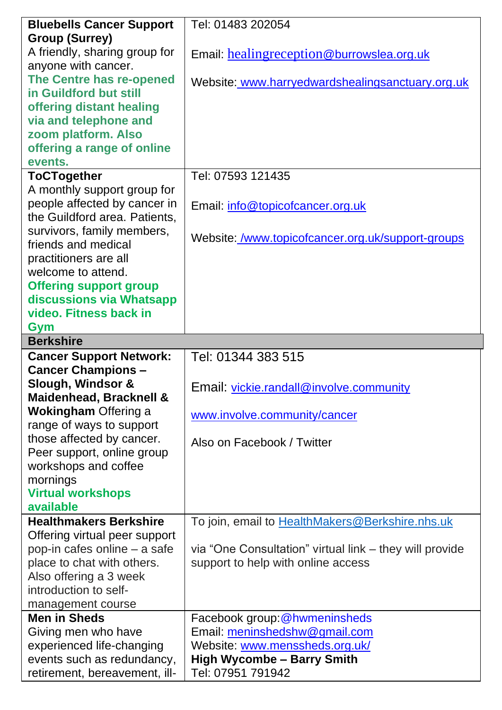| <b>Bluebells Cancer Support</b>                             | Tel: 01483 202054                                       |
|-------------------------------------------------------------|---------------------------------------------------------|
| <b>Group (Surrey)</b>                                       |                                                         |
| A friendly, sharing group for                               | Email: healingreception@burrowslea.org.uk               |
| anyone with cancer.                                         |                                                         |
| The Centre has re-opened                                    | Website: www.harryedwardshealingsanctuary.org.uk        |
| in Guildford but still                                      |                                                         |
| offering distant healing                                    |                                                         |
| via and telephone and                                       |                                                         |
| zoom platform. Also                                         |                                                         |
| offering a range of online                                  |                                                         |
| events.                                                     |                                                         |
| <b>ToCTogether</b>                                          | Tel: 07593 121435                                       |
| A monthly support group for                                 |                                                         |
| people affected by cancer in                                | Email: info@topicofcancer.org.uk                        |
| the Guildford area. Patients,                               |                                                         |
| survivors, family members,                                  |                                                         |
| friends and medical                                         | Website: /www.topicofcancer.org.uk/support-groups       |
| practitioners are all                                       |                                                         |
| welcome to attend.                                          |                                                         |
| <b>Offering support group</b>                               |                                                         |
| discussions via Whatsapp                                    |                                                         |
| video. Fitness back in                                      |                                                         |
| Gym                                                         |                                                         |
| <b>Berkshire</b>                                            |                                                         |
|                                                             |                                                         |
| <b>Cancer Support Network:</b>                              | Tel: 01344 383 515                                      |
| <b>Cancer Champions -</b>                                   |                                                         |
| Slough, Windsor &                                           |                                                         |
| Maidenhead, Bracknell &                                     | Email: vickie.randall@involve.community                 |
| <b>Wokingham Offering a</b>                                 |                                                         |
| range of ways to support                                    | www.involve.community/cancer                            |
| those affected by cancer.                                   |                                                         |
| Peer support, online group                                  | Also on Facebook / Twitter                              |
| workshops and coffee                                        |                                                         |
| mornings                                                    |                                                         |
| <b>Virtual workshops</b>                                    |                                                         |
| available                                                   |                                                         |
| <b>Healthmakers Berkshire</b>                               | To join, email to HealthMakers@Berkshire.nhs.uk         |
| Offering virtual peer support                               |                                                         |
| pop-in cafes online - a safe                                | via "One Consultation" virtual link - they will provide |
| place to chat with others.                                  | support to help with online access                      |
| Also offering a 3 week                                      |                                                         |
| introduction to self-                                       |                                                         |
| management course                                           |                                                         |
| <b>Men in Sheds</b>                                         | Facebook group: @hwmeninsheds                           |
| Giving men who have                                         | Email: meninshedshw@gmail.com                           |
| experienced life-changing                                   | Website: www.menssheds.org.uk/                          |
| events such as redundancy,<br>retirement, bereavement, ill- | <b>High Wycombe - Barry Smith</b><br>Tel: 07951 791942  |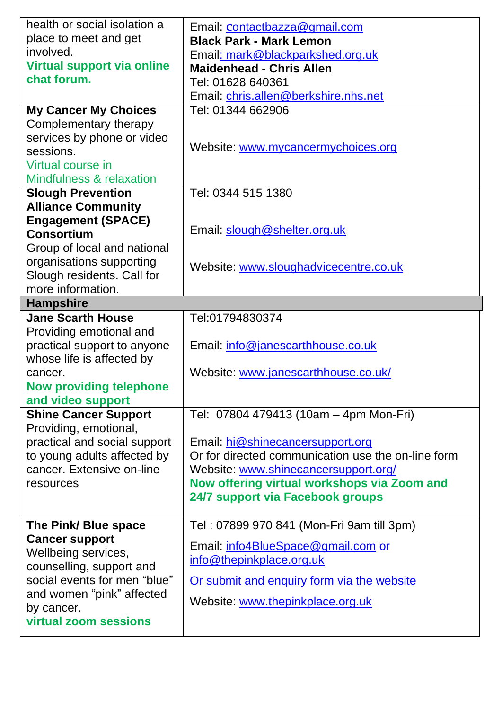| health or social isolation a        | Email: contactbazza@gmail.com                      |  |
|-------------------------------------|----------------------------------------------------|--|
| place to meet and get               | <b>Black Park - Mark Lemon</b>                     |  |
| involved.                           | Email: mark@blackparkshed.org.uk                   |  |
| Virtual support via online          | <b>Maidenhead - Chris Allen</b>                    |  |
| chat forum.                         | Tel: 01628 640361                                  |  |
|                                     | Email: chris.allen@berkshire.nhs.net               |  |
| <b>My Cancer My Choices</b>         | Tel: 01344 662906                                  |  |
| Complementary therapy               |                                                    |  |
| services by phone or video          |                                                    |  |
| sessions.                           | Website: www.mycancermychoices.org                 |  |
| Virtual course in                   |                                                    |  |
| Mindfulness & relaxation            |                                                    |  |
| <b>Slough Prevention</b>            | Tel: 0344 515 1380                                 |  |
| <b>Alliance Community</b>           |                                                    |  |
| <b>Engagement (SPACE)</b>           |                                                    |  |
| Consortium                          | Email: slough@shelter.org.uk                       |  |
| Group of local and national         |                                                    |  |
| organisations supporting            | Website: www.sloughadvicecentre.co.uk              |  |
| Slough residents. Call for          |                                                    |  |
| more information.                   |                                                    |  |
| <b>Hampshire</b>                    |                                                    |  |
| <b>Jane Scarth House</b>            | Tel:01794830374                                    |  |
| Providing emotional and             |                                                    |  |
| practical support to anyone         | Email: info@janescarthhouse.co.uk                  |  |
|                                     |                                                    |  |
| whose life is affected by           |                                                    |  |
| cancer.                             | Website: www.janescarthhouse.co.uk/                |  |
| <b>Now providing telephone</b>      |                                                    |  |
| and video support                   |                                                    |  |
| <b>Shine Cancer Support</b>         | Tel: 07804 479413 (10am - 4pm Mon-Fri)             |  |
| Providing, emotional,               |                                                    |  |
| practical and social support        | Email: hi@shinecancersupport.org                   |  |
| to young adults affected by         | Or for directed communication use the on-line form |  |
| cancer. Extensive on-line           | Website: www.shinecancersupport.org/               |  |
| resources                           | Now offering virtual workshops via Zoom and        |  |
|                                     | 24/7 support via Facebook groups                   |  |
|                                     |                                                    |  |
| The Pink/ Blue space                | Tel: 07899 970 841 (Mon-Fri 9am till 3pm)          |  |
| <b>Cancer support</b>               | Email: info4BlueSpace@gmail.com or                 |  |
| Wellbeing services,                 | info@thepinkplace.org.uk                           |  |
| counselling, support and            |                                                    |  |
| social events for men "blue"        | Or submit and enquiry form via the website         |  |
| and women "pink" affected           | Website: www.thepinkplace.org.uk                   |  |
| by cancer.<br>virtual zoom sessions |                                                    |  |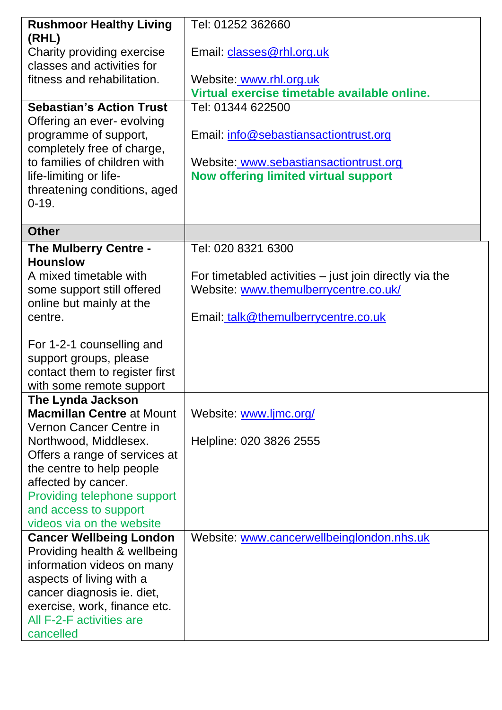| <b>Rushmoor Healthy Living</b>                     | Tel: 01252 362660                                                                               |  |
|----------------------------------------------------|-------------------------------------------------------------------------------------------------|--|
| (RHL)                                              |                                                                                                 |  |
| Charity providing exercise                         | Email: classes@rhl.org.uk                                                                       |  |
| classes and activities for                         |                                                                                                 |  |
| fitness and rehabilitation.                        | Website: www.rhl.org.uk                                                                         |  |
|                                                    | Virtual exercise timetable available online.                                                    |  |
| <b>Sebastian's Action Trust</b>                    | Tel: 01344 622500                                                                               |  |
| Offering an ever- evolving                         |                                                                                                 |  |
| programme of support,                              | Email: info@sebastiansactiontrust.org                                                           |  |
| completely free of charge,                         |                                                                                                 |  |
| to families of children with                       | Website: www.sebastiansactiontrust.org                                                          |  |
| life-limiting or life-                             | Now offering limited virtual support                                                            |  |
| threatening conditions, aged<br>$0-19.$            |                                                                                                 |  |
|                                                    |                                                                                                 |  |
| <b>Other</b>                                       |                                                                                                 |  |
|                                                    |                                                                                                 |  |
| The Mulberry Centre -<br><b>Hounslow</b>           | Tel: 020 8321 6300                                                                              |  |
| A mixed timetable with                             |                                                                                                 |  |
| some support still offered                         | For timetabled activities - just join directly via the<br>Website: www.themulberrycentre.co.uk/ |  |
| online but mainly at the                           |                                                                                                 |  |
| centre.                                            | Email: talk@themulberrycentre.co.uk                                                             |  |
|                                                    |                                                                                                 |  |
| For 1-2-1 counselling and                          |                                                                                                 |  |
| support groups, please                             |                                                                                                 |  |
| contact them to register first                     |                                                                                                 |  |
| with some remote support                           |                                                                                                 |  |
| The Lynda Jackson                                  |                                                                                                 |  |
| <b>Macmillan Centre at Mount</b>                   | Website: www.ljmc.org/                                                                          |  |
| Vernon Cancer Centre in                            |                                                                                                 |  |
| Northwood, Middlesex.                              | Helpline: 020 3826 2555                                                                         |  |
| Offers a range of services at                      |                                                                                                 |  |
| the centre to help people                          |                                                                                                 |  |
| affected by cancer.<br>Providing telephone support |                                                                                                 |  |
| and access to support                              |                                                                                                 |  |
| videos via on the website                          |                                                                                                 |  |
| <b>Cancer Wellbeing London</b>                     | Website: www.cancerwellbeinglondon.nhs.uk                                                       |  |
| Providing health & wellbeing                       |                                                                                                 |  |
| information videos on many                         |                                                                                                 |  |
| aspects of living with a                           |                                                                                                 |  |
| cancer diagnosis ie. diet,                         |                                                                                                 |  |
| exercise, work, finance etc.                       |                                                                                                 |  |
| All F-2-F activities are                           |                                                                                                 |  |
| cancelled                                          |                                                                                                 |  |